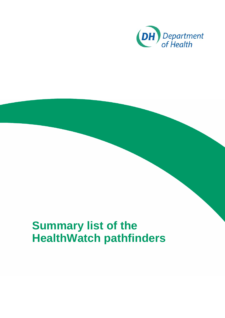

## **Summary list of the HealthWatch pathfinders**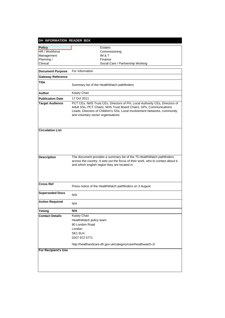| <b>Estates</b><br>HR / Workforce<br>Commissioning<br>IM & T<br>Management<br>Planning /<br>Finance<br>Clinical<br>Social Care / Partnership Working<br>For Information<br><b>Document Purpose</b><br><b>Gateway Reference</b><br>Title<br>Summary list of the HealthWatch pathfinders<br>Kasey Chan<br><b>Author</b><br>17 Oct 2011<br><b>Publication Date</b><br><b>Target Audience</b><br>Adult SSs, PCT Chairs, NHS Trust Board Chairs, GPs, Communications<br>and voluntary sector organisations<br><b>Circulation List</b><br>The document provides a summary list of the 75 HealthWatch pathfinders<br><b>Description</b><br>and which english region they are located in.<br><b>Cross Ref</b><br>Press notice of the HealthWatch pathfinders on 3 August<br><b>Superseded Docs</b><br>N/A<br><b>Action Required</b><br>N/A<br>N/A<br><b>Timing</b><br>Kasey Chan<br><b>Contact Details</b><br>HealthWatch policy team<br>80 London Road<br>London<br>SE1 6LH<br>0207 972 5771<br>http://healthandcare.dh.gov.uk/category/care/healthwatch-2/<br><b>For Recipient's Use</b> | DH INFORMATION READER BOX |                                                                                                                                                         |
|-----------------------------------------------------------------------------------------------------------------------------------------------------------------------------------------------------------------------------------------------------------------------------------------------------------------------------------------------------------------------------------------------------------------------------------------------------------------------------------------------------------------------------------------------------------------------------------------------------------------------------------------------------------------------------------------------------------------------------------------------------------------------------------------------------------------------------------------------------------------------------------------------------------------------------------------------------------------------------------------------------------------------------------------------------------------------------------|---------------------------|---------------------------------------------------------------------------------------------------------------------------------------------------------|
|                                                                                                                                                                                                                                                                                                                                                                                                                                                                                                                                                                                                                                                                                                                                                                                                                                                                                                                                                                                                                                                                                   | Policy                    |                                                                                                                                                         |
|                                                                                                                                                                                                                                                                                                                                                                                                                                                                                                                                                                                                                                                                                                                                                                                                                                                                                                                                                                                                                                                                                   |                           |                                                                                                                                                         |
|                                                                                                                                                                                                                                                                                                                                                                                                                                                                                                                                                                                                                                                                                                                                                                                                                                                                                                                                                                                                                                                                                   |                           |                                                                                                                                                         |
|                                                                                                                                                                                                                                                                                                                                                                                                                                                                                                                                                                                                                                                                                                                                                                                                                                                                                                                                                                                                                                                                                   |                           |                                                                                                                                                         |
|                                                                                                                                                                                                                                                                                                                                                                                                                                                                                                                                                                                                                                                                                                                                                                                                                                                                                                                                                                                                                                                                                   |                           |                                                                                                                                                         |
|                                                                                                                                                                                                                                                                                                                                                                                                                                                                                                                                                                                                                                                                                                                                                                                                                                                                                                                                                                                                                                                                                   |                           |                                                                                                                                                         |
|                                                                                                                                                                                                                                                                                                                                                                                                                                                                                                                                                                                                                                                                                                                                                                                                                                                                                                                                                                                                                                                                                   |                           |                                                                                                                                                         |
|                                                                                                                                                                                                                                                                                                                                                                                                                                                                                                                                                                                                                                                                                                                                                                                                                                                                                                                                                                                                                                                                                   |                           |                                                                                                                                                         |
|                                                                                                                                                                                                                                                                                                                                                                                                                                                                                                                                                                                                                                                                                                                                                                                                                                                                                                                                                                                                                                                                                   |                           |                                                                                                                                                         |
|                                                                                                                                                                                                                                                                                                                                                                                                                                                                                                                                                                                                                                                                                                                                                                                                                                                                                                                                                                                                                                                                                   |                           |                                                                                                                                                         |
|                                                                                                                                                                                                                                                                                                                                                                                                                                                                                                                                                                                                                                                                                                                                                                                                                                                                                                                                                                                                                                                                                   |                           | PCT CEs, NHS Trust CEs, Directors of PH, Local Authority CEs, Directors of<br>Leads, Directors of Children's SSs, Local Involvement Networks, community |
|                                                                                                                                                                                                                                                                                                                                                                                                                                                                                                                                                                                                                                                                                                                                                                                                                                                                                                                                                                                                                                                                                   |                           |                                                                                                                                                         |
|                                                                                                                                                                                                                                                                                                                                                                                                                                                                                                                                                                                                                                                                                                                                                                                                                                                                                                                                                                                                                                                                                   |                           | across the country. It sets out the focus of their work, who to contact about it,                                                                       |
|                                                                                                                                                                                                                                                                                                                                                                                                                                                                                                                                                                                                                                                                                                                                                                                                                                                                                                                                                                                                                                                                                   |                           |                                                                                                                                                         |
|                                                                                                                                                                                                                                                                                                                                                                                                                                                                                                                                                                                                                                                                                                                                                                                                                                                                                                                                                                                                                                                                                   |                           |                                                                                                                                                         |
|                                                                                                                                                                                                                                                                                                                                                                                                                                                                                                                                                                                                                                                                                                                                                                                                                                                                                                                                                                                                                                                                                   |                           |                                                                                                                                                         |
|                                                                                                                                                                                                                                                                                                                                                                                                                                                                                                                                                                                                                                                                                                                                                                                                                                                                                                                                                                                                                                                                                   |                           |                                                                                                                                                         |
|                                                                                                                                                                                                                                                                                                                                                                                                                                                                                                                                                                                                                                                                                                                                                                                                                                                                                                                                                                                                                                                                                   |                           |                                                                                                                                                         |
|                                                                                                                                                                                                                                                                                                                                                                                                                                                                                                                                                                                                                                                                                                                                                                                                                                                                                                                                                                                                                                                                                   |                           |                                                                                                                                                         |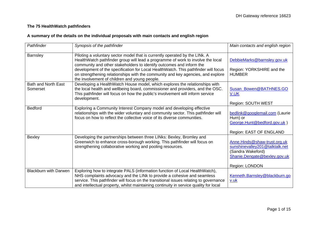## **The 75 HealthWatch pathfinders**

## **A summary of the details on the individual proposals with main contacts and english region**

| Pathfinder                             | Synopsis of the pathfinder                                                                                                                                                                                                                                                                                                                                                                                                                                       | Main contacts and english region                                                                                                      |
|----------------------------------------|------------------------------------------------------------------------------------------------------------------------------------------------------------------------------------------------------------------------------------------------------------------------------------------------------------------------------------------------------------------------------------------------------------------------------------------------------------------|---------------------------------------------------------------------------------------------------------------------------------------|
| <b>Barnsley</b>                        | Piloting a voluntary sector model that is currently operated by the LINk. A<br>HealthWatch pathfinder group will lead a programme of work to involve the local<br>community and other stakeholders to identify outcomes and inform the<br>development of the specification for Local HealthWatch. This pathfinder will focus<br>on strengthening relationships with the community and key agencies, and explore<br>the involvement of children and young people. | DebbieMarks@barnsley.gov.uk<br>Region: YORKSHIRE and the<br><b>HUMBER</b>                                                             |
| <b>Bath and North East</b><br>Somerset | Developing a HealthWatch House model, which explores the relationships with<br>the local health and wellbeing board, commissioner and providers, and the OSC.<br>This pathfinder will focus on how the public's involvement will inform service<br>development.                                                                                                                                                                                                  | Susan Bowen@BATHNES.GO<br><b>V.UK</b><br>Region: SOUTH WEST                                                                           |
| <b>Bedford</b>                         | Exploring a Community Interest Company model and developing effective<br>relationships with the wider voluntary and community sector. This pathfinder will<br>focus on how to reflect the collective voice of its diverse communities.                                                                                                                                                                                                                           | bedlink@googlemail.com (Laurie<br>Hurn) or<br>George.Hunt@bedford.gov.uk)<br>Region: EAST OF ENGLAND                                  |
| <b>Bexley</b>                          | Developing the partnerships between three LINks: Bexley, Bromley and<br>Greenwich to enhance cross-borough working. This pathfinder will focus on<br>strengthening collaborative working and pooling resources.                                                                                                                                                                                                                                                  | Anne.Hinds@shaw-trust.org.uk<br>sunshinevalley201@talktalk.net<br>(Sandra Wakeford)<br>Shanie.Dengate@bexley.gov.uk<br>Region: LONDON |
| <b>Blackburn with Darwen</b>           | Exploring how to integrate PALS (information function of Local HealthWatch),<br>NHS complaints advocacy and the LINk to provide a cohesive and seamless<br>service. This pathfinder will focus on the transitional issues relating to governance<br>and intellectual property, whilst maintaining continuity in service quality for local                                                                                                                        | Kenneth.Barnsley@blackburn.go<br><u>v.uk</u>                                                                                          |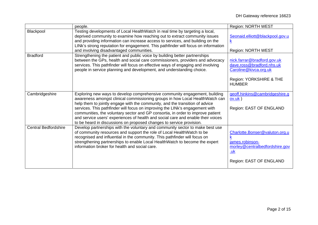|                             | people.                                                                                                                                                                                                                                                                                                                                                                                                                                                                                                                                                                   | Region: NORTH WEST                                                                                                            |
|-----------------------------|---------------------------------------------------------------------------------------------------------------------------------------------------------------------------------------------------------------------------------------------------------------------------------------------------------------------------------------------------------------------------------------------------------------------------------------------------------------------------------------------------------------------------------------------------------------------------|-------------------------------------------------------------------------------------------------------------------------------|
| Blackpool                   | Testing developments of Local HealthWatch in real time by targeting a local,<br>deprived community to examine how reaching out to extract community issues<br>and providing information can increase access to services, and building on the<br>LINk's strong reputation for engagement. This pathfinder will focus on information<br>and involving disadvantaged communities.                                                                                                                                                                                            | Seonaid.elliott@blackpool.gov.u<br>$\mathsf k$<br>Region: NORTH WEST                                                          |
| <b>Bradford</b>             | Strengthening the patient and public voice by building better partnerships<br>between the GPs, health and social care commissioners, providers and advocacy<br>services. This pathfinder will focus on effective ways of engaging and involving<br>people in service planning and development, and understanding choice.                                                                                                                                                                                                                                                  | nick.farrar@bradford.gov.uk<br>dave.ross@bradford.nhs.uk<br>Caroline@kivca.org.uk<br>Region: YORKSHIRE & THE<br><b>HUMBER</b> |
| Cambridgeshire              | Exploring new ways to develop comprehensive community engagement, building<br>awareness amongst clinical commissioning groups in how Local HealthWatch can<br>help them to jointly engage with the community, and the transition of advice<br>services. This pathfinder will focus on improving the LINk's engagement with<br>communities, the voluntary sector and GP consortia, in order to improve patient<br>and service users' experiences of health and social care and enable their voices<br>to be heard in discussions on proposed changes to service provision. | geoff.hinkins@cambridgeshire.g<br>$ov.uk$ )<br>Region: EAST OF ENGLAND                                                        |
| <b>Central Bedfordshire</b> | Develop partnerships with the voluntary and community sector to make best use<br>of community resources and support the role of Local HealthWatch to be<br>recognised and influential in the community. This pathfinder will focus on<br>strengthening partnerships to enable Local HealthWatch to become the expert<br>information broker for health and social care.                                                                                                                                                                                                    | Charlotte.Bonser@valuton.org.u<br>james.robinson-<br>morley@centralbedfordshire.gov<br><u>.uk</u><br>Region: EAST OF ENGLAND  |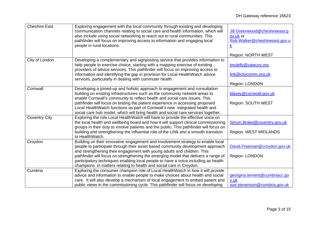| <b>Cheshire East</b> | Exploring engagement with the local community through existing and developing<br>communication channels relating to social care and health information, which will<br>also include using social networking to reach out to rural communities. This<br>pathfinder will focus on improving access to information and engaging local<br>people in rural locations. | Jill.Greenwood@cheshireeast.g<br>ov.uk or<br>Rob.Walker@cheshireeast.gov.u<br><u>k</u> |
|----------------------|-----------------------------------------------------------------------------------------------------------------------------------------------------------------------------------------------------------------------------------------------------------------------------------------------------------------------------------------------------------------|----------------------------------------------------------------------------------------|
| City of London       | Developing a complementary and signposting service that provides information to                                                                                                                                                                                                                                                                                 | Region: NORTH WEST                                                                     |
|                      | help people to exercise choice, starting with a mapping exercise of existing                                                                                                                                                                                                                                                                                    | jmulelly@vawcvs.org                                                                    |
|                      | providers of advice services. This pathfinder will focus on improving access to<br>information and identifying the gap in provision for Local HealthWatch advice<br>services, particularly in dealing with commuter health.                                                                                                                                     | link@citycomm.org.uk                                                                   |
|                      |                                                                                                                                                                                                                                                                                                                                                                 | Region: LONDON                                                                         |
| Cornwall             | Developing a joined-up and holistic approach to engagement and consultation<br>building on existing infrastructures such as the community network areas to<br>enable Cornwall's community to reflect health and social care issues. This                                                                                                                        | ldavey@cornwall.gov.uk                                                                 |
|                      | pathfinder will focus on testing the patient experience in accessing proposed<br>Local Health Watch functions as part of Cornwall's new integrated health and<br>social care hub model, which will bring health and social care services together.                                                                                                              | Region: SOUTH WEST                                                                     |
| <b>Coventry City</b> | Exploring the role Local HealthWatch will have to provide the effective voice on<br>the local health and wellbeing board and how it will support clinical commissioning<br>groups in their duty to involve patients and the public. This pathfinder will focus on                                                                                               | Simon.Brake@coventry.gov.uk                                                            |
|                      | building and strengthening the influential role of the LINk and a smooth transition<br>to HealthWatch.                                                                                                                                                                                                                                                          | Region: WEST MIDLANDS                                                                  |
| Croydon              | Building on their innovative engagement and involvement strategy to enable local<br>people to participate through their asset based community development approach<br>and strengthening their engagement with young adults and children. This                                                                                                                   | David.Freeman@croydon.gov.uk                                                           |
|                      | pathfinder will focus on strengthening the emerging model that delivers a range of<br>participatory techniques enabling local people to have a voice including as health<br>champions in matters relating to health and social care in Croydon.                                                                                                                 | Region: LONDON                                                                         |
| Cumbria              | Exploring the consumer champion role of Local HealthWatch in how it will provide                                                                                                                                                                                                                                                                                |                                                                                        |
|                      | advice and information to enable people to make choices about health and social                                                                                                                                                                                                                                                                                 | georgina.ternent@cumbriacc.go                                                          |
|                      | care. It will also develop a mechanism of local engagement to embed patient and<br>public views in the commissioning cycle. This pathfinder will focus on developing                                                                                                                                                                                            | v.uk<br>sue.stevenson@cumbria.gov.uk                                                   |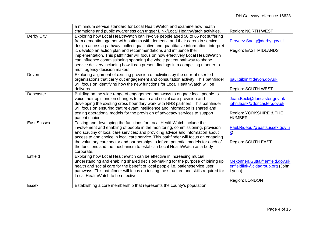|                    | a minimum service standard for Local HealthWatch and examine how health                                                                                               |                                 |
|--------------------|-----------------------------------------------------------------------------------------------------------------------------------------------------------------------|---------------------------------|
|                    | champions and public awareness can trigger LINk/Local HealthWatch activities.                                                                                         | <b>Region: NORTH WEST</b>       |
| Derby City         | Exploring how Local HealthWatch can involve people aged 50 to 65 not suffering                                                                                        |                                 |
|                    | from dementia together with patients with dementia and their carers in service                                                                                        | Perveez.Sadiq@derby.gov.uk      |
|                    | design across a pathway, collect qualitative and quantitative information, interpret                                                                                  |                                 |
|                    | it, develop an action plan and recommendations and influence their                                                                                                    | Region: EAST MIDLANDS           |
|                    | implementation. This pathfinder will focus on how effectively Local HealthWatch                                                                                       |                                 |
|                    | can influence commissioning spanning the whole patient pathway to shape                                                                                               |                                 |
|                    | service delivery including how it can present findings in a compelling manner to                                                                                      |                                 |
|                    | multi-agency decision makers.                                                                                                                                         |                                 |
| Devon              | Exploring alignment of existing provision of activities by the current user led                                                                                       |                                 |
|                    | organisations that carry out engagement and consultation activity. This pathfinder                                                                                    | paul.giblin@devon.gov.uk        |
|                    | will focus on identifying how the new functions for Local HealthWatch will be                                                                                         |                                 |
|                    | delivered.                                                                                                                                                            | Region: SOUTH WEST              |
| Doncaster          | Building on the wide range of engagement pathways to engage local people to                                                                                           |                                 |
|                    | voice their opinions on changes to health and social care provision and                                                                                               | Joan.Beck@doncaster.gov.uk      |
|                    | developing the existing cross boundary work with NHS partners. This pathfinder                                                                                        | john.leask@doncaster.gov.uk     |
|                    | will focus on ensuring that relevant intelligence and information is shared and                                                                                       |                                 |
|                    | testing operational models for the provision of advocacy services to support                                                                                          | Region: YORKSHIRE & THE         |
|                    | patient choice.                                                                                                                                                       | <b>HUMBER</b>                   |
| <b>East Sussex</b> | Testing and developing the functions for Local HealthWatch include the                                                                                                |                                 |
|                    | involvement and enabling of people in the monitoring, commissioning, provision                                                                                        | Paul.Rideout@eastsussex.gov.u   |
|                    | and scrutiny of local care services; and providing advice and information about<br>access to and choice in local care service. This pathfinder will focus on engaging | $\mathbf{k}$                    |
|                    | the voluntary care sector and partnerships to inform potential models for each of                                                                                     | Region: SOUTH EAST              |
|                    | the functions and the mechanism to establish Local HealthWatch as a body                                                                                              |                                 |
|                    | corporate.                                                                                                                                                            |                                 |
| Enfield            | Exploring how Local Healthwatch can be effective in increasing mutual                                                                                                 |                                 |
|                    | understanding and enabling shared decision-making for the purpose of joining up                                                                                       | Mekonnen.Gutta@enfield.gov.uk   |
|                    | health and social care for the benefit of local people i.e. patient/service user                                                                                      | enfieldlink@cidagroup.org (John |
|                    | pathways. This pathfinder will focus on testing the structure and skills required for                                                                                 | Lynch)                          |
|                    | Local HealthWatch to be effective.                                                                                                                                    |                                 |
|                    |                                                                                                                                                                       | Region: LONDON                  |
| <b>Essex</b>       | Establishing a core membership that represents the county's population                                                                                                |                                 |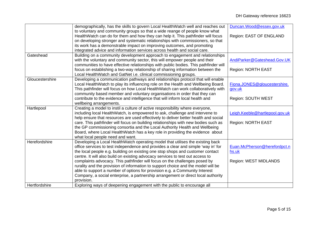|                 | demographically, has the skills to govern Local HealthWatch well and reaches out                                                                                                                                                                                                                                                                  | Duncan.Wood@essex.gov.uk                                 |
|-----------------|---------------------------------------------------------------------------------------------------------------------------------------------------------------------------------------------------------------------------------------------------------------------------------------------------------------------------------------------------|----------------------------------------------------------|
|                 | to voluntary and community groups so that a wide reange of people know what<br>HealthWatch can do for them and how they can help it. This pathfinder will focus<br>on developing stronger and systematic relationships with commissioners, so that                                                                                                | Region: EAST OF ENGLAND                                  |
|                 | its work has a demonstrable impact on improving outcomes, and promoting<br>integrated advice and information services across health and social care.                                                                                                                                                                                              |                                                          |
| Gateshead       | Building on a community development approach to engagement and relationships<br>with the voluntary and community sector, this will empower people and their<br>communities to have effective relationships with public bodies. This pathfinder will<br>focus on establishing a two-way relationship of sharing information between the            | AndiParker@Gateshead.Gov.UK<br><b>Region: NORTH EAST</b> |
|                 | Local HealthWatch and GatNet i.e. clinical commissioning groups.                                                                                                                                                                                                                                                                                  |                                                          |
| Gloucestershire | Developing a communication pathways and relationships protocol that will enable<br>Local HealthWatch to play its influencing role on the Health and Wellbeing Board.<br>This pathfinder will focus on how Local HealthWatch can work collaboratively with<br>community based member and voluntary organisations in order that they can            | Fiona.JONES@gloucestershire.<br>gov.uk                   |
|                 | contribute to the evidence and intelligence that will inform local health and<br>wellbeing arrangements.                                                                                                                                                                                                                                          | Region: SOUTH WEST                                       |
| Hartlepool      | Creating a model to instil a culture of active responsibility where everyone,<br>including local HealthWatch, is empowered to ask, challenge and intervene to<br>help ensure that resources are used effectively to deliver better health and social                                                                                              | Leigh.Keeble@hartlepool.gov.uk                           |
|                 | care. This pathfinder will focus on building relationships with new bodies such as<br>the GP commissioning consortia and the Local Authority Health and Wellbeing<br>Board, where Local HealthWatch has a key role in providing the evidence about<br>what local people need and want.                                                            | <b>Region: NORTH EAST</b>                                |
| Herefordshire   | Developing a Local HealthWatch operating model that utilises the existing back<br>office services to test independence and provides a clear and simple 'way in' for<br>the local people e.g. building on existing one stop shops and customer contact<br>centre. It will also build on existing advocacy services to test out access to           | Euan.McPherson@herefordpct.n<br>hs.uk                    |
|                 | complaints advocacy. This pathfinder will focus on the challenges posed by<br>rurality and the provision of information to support choice and the model will be<br>able to support a number of options for provision e.g. a Community Interest<br>Company, a social enterprise, a partnership arrangement or direct local authority<br>provision. | <b>Region: WEST MIDLANDS</b>                             |
| Hertfordshire   | Exploring ways of deepening engagement with the public to encourage all                                                                                                                                                                                                                                                                           |                                                          |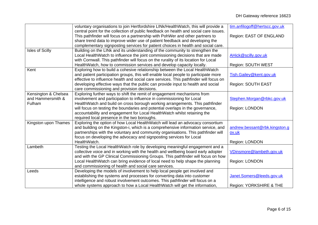|                      | voluntary organisations to join Hertfordshire LINk/HealthWatch, this will provide a   | tim.anfilogoff@hertscc.gov.uk |
|----------------------|---------------------------------------------------------------------------------------|-------------------------------|
|                      | central point for the collection of public feedback on health and social care issues. |                               |
|                      | This pathfinder will focus on a partnership with PohWer and other partners to         | Region: EAST OF ENGLAND       |
|                      | share trend data to improve wider use of patient feedback and developing the          |                               |
|                      | complementary signposting services for patient choices in health and social care.     |                               |
| Isles of Scilly      | Building on the LINk and its understanding of the community to strengthen the         |                               |
|                      | Local HealthWatch to influence the joint commissioning decisions that are made        | AHick@scilly.gov.uk           |
|                      | with Cornwall. This pathfinder will focus on the rurality of its location for Local   |                               |
|                      | HealthWatch, how to commission services and develop capacity locally.                 | Region: SOUTH WEST            |
| Kent                 | Exploring how to build a cohesive relationship between the Local HealthWatch          |                               |
|                      | and patient participation groups, this will enable local people to participate more   | Tish.Gailey@kent.gov.uk       |
|                      | effective to influence health and social care services. This pathfinder will focus on |                               |
|                      | developing effective ways that the public can provide input to health and social      | Region: SOUTH EAST            |
|                      | care commissioning and provision decisions.                                           |                               |
| Kensington & Chelsea | Exploring further ways to shift the remit of engagement mechanisms from               |                               |
| and Hammersmith &    | involvement and participation to influence in commissioning for Local                 | Stephen.Morgan@rbkc.gov.uk    |
| Fulham               | HealthWatch and build on cross borough working arrangements. This pathfinder          |                               |
|                      | will focus on testing the boundaries and potential overlaps in the governance,        | Region: LONDON                |
|                      | accountability and engagement for Local HealthWatch whilst retaining the              |                               |
|                      | required local presence in the two boroughs.                                          |                               |
| Kingston upon Thames | Exploring the option of how Local HealthWatch will lead an advocacy consortium        |                               |
|                      | and building on the Kingston-i, which is a comprehensive information service, and     | andrew.bessant@rbk.kingston.g |
|                      | partnerships with the voluntary and community organisations. This pathfinder will     | ov.uk                         |
|                      | focus on developing the advocacy and signposting services for Local                   |                               |
|                      | HealthWatch.                                                                          | Region: LONDON                |
| Lambeth              | Testing the Local HealthWatch role by developing meaningful engagement and a          |                               |
|                      | collective voice and in working with the health and wellbeing board early adopter     | VDinsmore@lambeth.gov.uk      |
|                      | and with the GP Clinical Commissioning Groups. This pathfinder will focus on how      |                               |
|                      | Local HealthWatch can bring evidence of local need to help shape the planning         | Region: LONDON                |
|                      | and commissioning of health and social care services.                                 |                               |
| Leeds                | Developing the models of involvement to help local people get involved and            |                               |
|                      | establishing the systems and processes for converting data into customer              | Janet.Somers@leeds.gov.uk     |
|                      | intelligence and robust involvement outcomes. This pathfinder will focus on a         |                               |
|                      | whole systems approach to how a Local HealthWatch will get the information,           | Region: YORKSHIRE & THE       |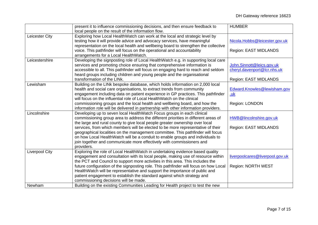|                       | present it to influence commissioning decisions, and then ensure feedback to                                                                                       | <b>HUMBER</b>                   |
|-----------------------|--------------------------------------------------------------------------------------------------------------------------------------------------------------------|---------------------------------|
|                       | local people on the result of the information flow.                                                                                                                |                                 |
| Leicester City        | Exploring how Local HealthWatch can work at the local and strategic level by                                                                                       |                                 |
|                       | testing how it will provide advice and advocacy services, have meaningful                                                                                          | Nicola.Hobbs@leicester.gov.uk   |
|                       | representation on the local health and wellbeing board to strengthen the collective                                                                                |                                 |
|                       | voice. This pathfinder will focus on the operational and accountability                                                                                            | Region: EAST MIDLANDS           |
|                       | arrangements for a Local HealthWatch.                                                                                                                              |                                 |
| Leicestershire        | Developing the signposting role of Local HealthWatch e.g. in supporting local care                                                                                 |                                 |
|                       | services and promoting choice ensuring that comprehensive information is                                                                                           | John.Sinnott@leics.gov.uk       |
|                       | accessible to all. This pathfinder will focus on engaging hard to reach and seldom                                                                                 | cheryl.davenport@lcr.nhs.uk     |
|                       | heard groups including children and young people and the organisational                                                                                            |                                 |
|                       | transformation of the LINk.                                                                                                                                        | Region: EAST MIDLANDS           |
| Lewisham              | Building on the LINk bespoke database, which holds information on 2,000 local                                                                                      |                                 |
|                       | health and social care organisations, to extract trends from community                                                                                             | Edward.Knowles@lewisham.gov     |
|                       | engagement including data on patient experience in GP practices. This pathfinder                                                                                   | <u>.uk</u>                      |
|                       | will focus on the influential role of Local HealthWatch on the clinical                                                                                            |                                 |
|                       | commissioning groups and the local health and wellbeing board, and how the                                                                                         | Region: LONDON                  |
|                       | information role will be delivered in partnership with other information providers.                                                                                |                                 |
| Lincolnshire          | Developing up to seven local HealthWatch Focus groups in each clinical                                                                                             |                                 |
|                       | commissioning group area to address the different priorities in different areas of                                                                                 | HWB@lincolnshire.gov.uk         |
|                       | the large and rural county to give local people greater ownership over local                                                                                       |                                 |
|                       | services, from which members will be elected to be more representative of their<br>geographical localities on the management committee. This pathfinder will focus | <b>Region: EAST MIDLANDS</b>    |
|                       | on how Local HealthWatch will be a conduit to enable groups and individuals to                                                                                     |                                 |
|                       | join together and communicate more effectively with commissioners and                                                                                              |                                 |
|                       | providers.                                                                                                                                                         |                                 |
| <b>Liverpool City</b> | Exploring the role of Local HealthWatch in undertaking evidence based quality                                                                                      |                                 |
|                       | engagement and consultation with its local people, making use of resource within                                                                                   | liverpoolcares@liverpool.gov.uk |
|                       | the PCT and Council to support more activities in this area. This includes the                                                                                     |                                 |
|                       | future configuration of the signposting role. This pathfinder will focus on how Local                                                                              | <b>Region: NORTH WEST</b>       |
|                       | HealthWatch will be representative and support the importance of public and                                                                                        |                                 |
|                       | patient engagement to establish the standard against which strategy and                                                                                            |                                 |
|                       | commissioning decisions will be made.                                                                                                                              |                                 |
| Newham                | Building on the existing Communities Leading for Health project to test the new                                                                                    |                                 |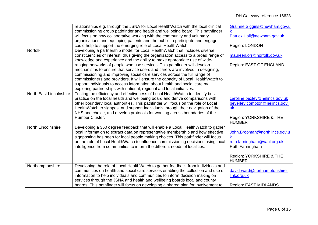|                         | relationships e.g. through the JSNA for Local HealthWatch with the local clinical<br>commissioning group pathfinder and health and wellbeing board. This pathfinder<br>will focus on how collaborative working with the community and voluntary<br>organisations and equipping patients and the public to participate and engage<br>could help to support the emerging role of Local HealthWatch.                                                                                                                                                                                                                                                                                                                                   | Grainne.Siggins@newham.gov.u<br>Patrick.Hall@newham.gov.uk<br>Region: LONDON                                                |
|-------------------------|-------------------------------------------------------------------------------------------------------------------------------------------------------------------------------------------------------------------------------------------------------------------------------------------------------------------------------------------------------------------------------------------------------------------------------------------------------------------------------------------------------------------------------------------------------------------------------------------------------------------------------------------------------------------------------------------------------------------------------------|-----------------------------------------------------------------------------------------------------------------------------|
| Norfolk                 | Developing a partnership model for Local HealthWatch that includes diverse<br>constituencies of interest, thus giving the organisation access to a broad range of<br>knowledge and experience and the ability to make appropriate use of wide-<br>ranging networks of people who use services. This pathfinder will develop<br>mechanisms to ensure that service users and carers are involved in designing,<br>commissioning and improving social care services across the full range of<br>commissioners and providers. It will ensure the capacity of Local HealthWatch to<br>support individuals to access information about health and social care by<br>exploring partnerships with national, regional and local initiatives. | maureen.orr@norfolk.gov.uk<br>Region: EAST OF ENGLAND                                                                       |
| North East Lincolnshire | Testing the efficiency and effectiveness of Local HealthWatch to identify best<br>practice on the local health and wellbeing board and derive comparisons with<br>other boundary local authorities. This pathfinder will focus on the role of Local<br>HealthWatch to signpost and support individuals through their navigation of the<br>NHS and choice, and develop protocols for working across boundaries of the<br>Humber Cluster.                                                                                                                                                                                                                                                                                             | caroline.bexley@nelincs.gov.uk<br>beverley.compton@nelincs.gov.<br>uk<br>Region: YORKSHIRE & THE<br><b>HUMBER</b>           |
| North Lincolnshire      | Developing a 360 degree feedback that will enable a Local HealthWatch to gather<br>local information to extract data on representative membership and how effective<br>signposting has been for local people making choices. This pathfinder will focus<br>on the role of Local HealthWatch to influence commissioning decisions using local<br>intelligence from communities to inform the different needs of localities.                                                                                                                                                                                                                                                                                                          | John.Brooman@northlincs.gov.u<br>ruth.farningham@vanl.org.uk<br>Ruth Farningham<br>Region: YORKSHIRE & THE<br><b>HUMBER</b> |
| Northamptonshire        | Developing the role of Local HealthWatch to gather feedback from individuals and<br>communities on health and social care services enabling the collection and use of<br>information to help individuals and communities to inform decision making on<br>services through the JSNA and health and wellbeing boards local and county<br>boards. This pathfinder will focus on developing a shared plan for involvement to                                                                                                                                                                                                                                                                                                            | david-ward@northamptonshire-<br>link.org.uk<br><b>Region: EAST MIDLANDS</b>                                                 |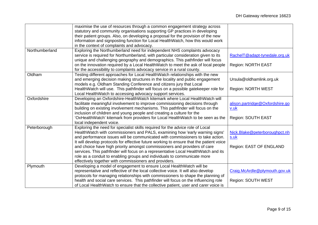|                | maximise the use of resources through a common engagement strategy across<br>statutory and community organisations supporting GP practices in developing |                                 |
|----------------|----------------------------------------------------------------------------------------------------------------------------------------------------------|---------------------------------|
|                | their patient groups. Also, on developing a proposal for the provision of the new                                                                        |                                 |
|                | information and signposting function for Local HealthWatch, how this would work                                                                          |                                 |
|                | in the context of complaints and advocacy.                                                                                                               |                                 |
| Northumberland | Exploring the Northumberland need for independent NHS complaints advocacy                                                                                |                                 |
|                | service is required for Northumberland, with particular consideration given to its                                                                       | RachelT@adapt-tynedale.org.uk   |
|                | unique and challenging geography and demographics. This pathfinder will focus                                                                            |                                 |
|                | on the innovation required by a Local HealthWatch to meet the ask of local people                                                                        | <b>Region: NORTH EAST</b>       |
|                | for the accessibility to complaints advocacy service in a rural county.                                                                                  |                                 |
| Oldham         | Testing different approaches for Local HealthWatch relationships with the new                                                                            |                                 |
|                | and emerging decision making structures in the locality and public engagement                                                                            | Ursula@oldhamlink.org.uk        |
|                | models e.g. Oldham Standing Conference and citizens jury that Local                                                                                      |                                 |
|                | HealthWatch will use. This pathfinder will focus on a possible gatekeeper role for                                                                       | <b>Region: NORTH WEST</b>       |
|                | Local HealthWatch to accessing advocacy support services.                                                                                                |                                 |
| Oxfordshire    | Developing an Oxfordshire-HealthWatch kitemark where Local HealthWatch will                                                                              |                                 |
|                | facilitate meaningful involvement to improve commissioning decisions through                                                                             | alison.partridge@Oxfordshire.go |
|                | building on existing involvement mechanisms. This pathfinder will focus on the                                                                           | v.uk                            |
|                | inclusion of children and young people and creating a culture for the                                                                                    |                                 |
|                | 'OxHealthWatch' kitemark from providers for Local HealthWatch to be seen as the                                                                          | Region: SOUTH EAST              |
|                | local independent voice.                                                                                                                                 |                                 |
| Peterborough   | Exploring the need for specialist skills required for the advice role of Local                                                                           |                                 |
|                | HealthWatch with commissioners and PALS, examining how 'early warning signs'                                                                             | Nick.Blake@peterboroughpct.nh   |
|                | and performance issues will be communicated with commissioners to take action.                                                                           | s.uk                            |
|                | It will develop protocols for effective future working to ensure that the patient voice                                                                  |                                 |
|                | and choice have high priority amongst commissioners and providers of care                                                                                | Region: EAST OF ENGLAND         |
|                | services. This pathfinder will focus on a representative Local HealthWatch and its                                                                       |                                 |
|                | role as a conduit to enabling groups and individuals to communicate more                                                                                 |                                 |
|                | effectively together with commissioners and providers.                                                                                                   |                                 |
| Plymouth       | Developing a model of engagement to ensure Local HealthWatch will be                                                                                     |                                 |
|                | representative and reflective of the local collective voice. It will also develop                                                                        | Craig.McArdle@plymouth.gov.uk   |
|                | protocols for managing relationships with commissioners to shape the planning of                                                                         |                                 |
|                | health and social care services. This pathfinder will focus on the influencing role                                                                      | Region: SOUTH WEST              |
|                | of Local HealthWatch to ensure that the collective patient, user and carer voice is                                                                      |                                 |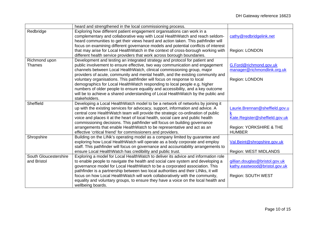|                       | heard and strengthened in the local commissioning process.                         |                                |
|-----------------------|------------------------------------------------------------------------------------|--------------------------------|
| Redbridge             | Exploring how different patient engagement organisations can work in a             |                                |
|                       | complementary and collaborative way with Local HealthWatch and reach seldom-       | cathy@redbridgelink.net        |
|                       | heard communities to get their views heard and action taken. This pathfinder will  |                                |
|                       | focus on examining different governance models and potential conflicts of interest |                                |
|                       | that may arise for Local HealthWatch in the context of cross-borough working with  | Region: LONDON                 |
|                       | different health service providers that work across borough boundaries.            |                                |
| Richmond upon         | Development and testing an integrated strategy and protocol for patient and        |                                |
| <b>Thames</b>         | public involvement to ensure effective, two way communication and engagement       | G.Ford@richmond.gov.uk         |
|                       | channels between Local HealthWatch, clinical commissioning group, major            | manager@richmondlink.org.uk    |
|                       | providers of acute, community and mental health, and the existing community and    |                                |
|                       | voluntary organisations. This pathfinder will focus on response to local           | Region: LONDON                 |
|                       | demographics for Local HealthWatch responding to local people e.g. higher          |                                |
|                       | numbers of older people to ensure equality and accessibility, and a key outcome    |                                |
|                       | will be to achieve a shared understanding of Local HealthWatch by the public and   |                                |
|                       | stakeholders.                                                                      |                                |
| Sheffield             | Developing a Local HealthWatch model to be a network of networks by joining it     |                                |
|                       | up with the existing services for advocacy, support, information and advice. A     | Laurie.Brennan@sheffield.gov.u |
|                       | central core HealthWatch team will provide the strategic co-ordination of public   | k                              |
|                       | voice and places it at the heart of local health, social care and public health    | Kate.Register@sheffield.gov.uk |
|                       | commissioning decisions. This pathfinder will focus on building governance         |                                |
|                       | arrangements that enable HealthWatch to be representative and act as an            | Region: YORKSHIRE & THE        |
|                       | effective 'critical friend' for commissioners and providers.                       | <b>HUMBER</b>                  |
| Shropshire            | Building on the LINk's operating model as a company limited by guarantee and       |                                |
|                       | exploring how Local HealthWatch will operate as a body corporate and employ        | Val.Beint@shropshire.gov.uk    |
|                       | staff. This pathfinder will focus on governance and accountability arrangements to |                                |
|                       | ensure Local HealthWatch has credibility and public trust.                         | Region: WEST MIDLANDS          |
| South Gloucestershire | Exploring a model for Local HealthWatch to deliver its advice and information role |                                |
| and Bristol           | to enable people to navigate the health and social care system and developing a    | gillian.douglas@bristol.gov.uk |
|                       | governance model for Local HealthWatch to be a corporated association. This        | kathy.eastwood@bristol.gov.uk  |
|                       | pathfinder is a partnership between two local authorities and their LINks, it will |                                |
|                       | focus on how Local HealthWatch will work collaboratively with the community,       | Region: SOUTH WEST             |
|                       | equality and voluntary groups, to ensure they have a voice on the local health and |                                |
|                       | wellbeing boards.                                                                  |                                |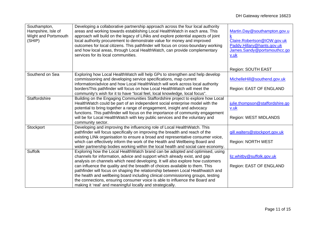| Southampton,<br>Hampshire, Isle of<br>Wight and Portsmouth<br>(SHIP) | Developing a collaborative partnership approach across the four local authority<br>areas and working towards establishing Local HealthWatch in each area. This<br>approach will build on the legacy of LINks and explore potential aspects of joint<br>local authority procurement to demonstrate value for money and improved<br>outcomes for local citizens. This pathfinder will focus on cross-boundary working<br>and how local areas, through Local HealthWatch, can provide complementary<br>services for its local communities.                                                                                                         | Martin.Day@southampton.gov.u<br>Claire.Robertson@IOW.gov.uk<br>Paddy.Hillary@hants.gov.uk<br>James.Sandy@portsmouthcc.go<br><u>v.uk</u><br>Region: SOUTH EAST |
|----------------------------------------------------------------------|-------------------------------------------------------------------------------------------------------------------------------------------------------------------------------------------------------------------------------------------------------------------------------------------------------------------------------------------------------------------------------------------------------------------------------------------------------------------------------------------------------------------------------------------------------------------------------------------------------------------------------------------------|---------------------------------------------------------------------------------------------------------------------------------------------------------------|
| Southend on Sea                                                      | Exploring how Local HealthWatch will help GPs to strengthen and help develop<br>commissioning and developing service specifications, map current<br>information/advice and how Local HealthWatch will work across local authority                                                                                                                                                                                                                                                                                                                                                                                                               | MichelleHill@southend.gov.uk                                                                                                                                  |
|                                                                      | bordersThis pathfinder will focus on how Local HealthWatch will meet the<br>community's wish for it to have "local feel, local knowledge, local focus".                                                                                                                                                                                                                                                                                                                                                                                                                                                                                         | Region: EAST OF ENGLAND                                                                                                                                       |
| Staffordshire                                                        | Building on the Engaging Communities Staffordshire project to explore how Local<br>HealthWatch could be part of an independent social enterprise model with the<br>potential to bring together a range of engagement, insight and advocacy<br>functions. This pathfinder will focus on the importance of community engagement<br>will be for Local HealthWatch with key public services and the voluntary and                                                                                                                                                                                                                                   | julie.thompson@staffordshire.go<br>v.uk<br>Region: WEST MIDLANDS                                                                                              |
|                                                                      | community sector.                                                                                                                                                                                                                                                                                                                                                                                                                                                                                                                                                                                                                               |                                                                                                                                                               |
| Stockport                                                            | Developing and improving the influencing role of Local HealthWatch. This<br>pathfinder will focus specifically on improving the breadth and reach of the<br>existing LINk organisation to ensure a broad and representative consumer voice,<br>which can effectively inform the work of the Health and Wellbeing Board and<br>wider partnership bodies working within the local health and social care economy.                                                                                                                                                                                                                                 | gill.walters@stockport.gov.uk<br>Region: NORTH WEST                                                                                                           |
| <b>Suffolk</b>                                                       | Exploring how the Local HealthWatch brand can be adopted and optimised, using<br>channels for information, advice and support which already exist, and gap<br>analysis on channels which need developing. It will also explore how customers<br>can influence the quality and the breadth of choices available to them. This<br>pathfinder will focus on shaping the relationship between Local Healthwatch and<br>the health and wellbeing board including clinical commissioning groups, testing<br>the connections, ensuring consumer voice is able to influence the Board and<br>making it 'real' and meaningful locally and strategically. | liz.whitby@suffolk.gov.uk<br>Region: EAST OF ENGLAND                                                                                                          |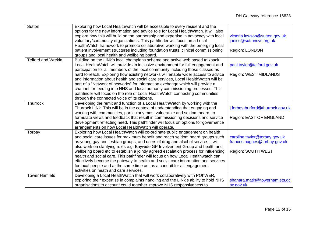| Sutton                    | Exploring how Local Healthwatch will be accessible to every resident and the         |                                  |
|---------------------------|--------------------------------------------------------------------------------------|----------------------------------|
|                           | options for the new information and advice role for Local HealthWatch. It will also  |                                  |
|                           | explore how this will build on the partnership and expertise in advocacy with local  | victoria.lawson@sutton.gov.uk    |
|                           | voluntary/community organisations. This pathfinder will focus on a Local             | janice@suttoncvs.org.uk          |
|                           | HealthWatch framework to promote collaborative working with the emerging local       |                                  |
|                           | patient involvement structures including foundation trusts, clinical commissioning   | Region: LONDON                   |
|                           | groups and local health and wellbeing board.                                         |                                  |
| <b>Telford and Wrekin</b> | Building on the LINk's local champions scheme and active web based talkback,         |                                  |
|                           | Local HealthWatch will provide an inclusive environment for full engagement and      | paul.taylor@telford.gov.uk       |
|                           | participation for all members of the local community including those classed as      |                                  |
|                           | hard to reach. Exploring how existing networks will enable wider access to advice    | <b>Region: WEST MIDLANDS</b>     |
|                           | and information about health and social care services, Local HealthWatch will be     |                                  |
|                           | part of a "Network of networks" for information exchange which will provide a        |                                  |
|                           | channel for feeding into NHS and local authority commissioning processes. This       |                                  |
|                           | pathfinder will focus on the role of Local HealthWatch connecting communities        |                                  |
|                           | through the connected voice of its citizens.                                         |                                  |
| Thurrock                  | Developing the remit and function of a Local HealthWatch by working with the         |                                  |
|                           | Thurrock LINk. This will be in the context of understanding that engaging and        | j.forbes-burford@thurrock.gov.uk |
|                           | working with communities, particularly most vulnerable and seldom heard, to          |                                  |
|                           | formulate views and feedback that result in commissioning decisions and service      | Region: EAST OF ENGLAND          |
|                           | development reflecting need. This pathfinder will focus on options for governance    |                                  |
|                           | arrangements on how Local HealthWatch will operate.                                  |                                  |
| Torbay                    | Exploring how Local HealthWatch will co-ordinate public engagement on health         |                                  |
|                           | and social care issues for maximum benefit and reach seldom heard groups such        | caroline.taylor@torbay.gov.uk    |
|                           | as young gay and lesbian groups, and users of drug and alcohol service. It will      | frances.hughes@torbay.gov.uk     |
|                           | also work on clarifying roles e.g. Baywide GP Involvement Group and health and       |                                  |
|                           | wellbeing board etc to establish a jointly agreed escalation process for influencing | Region: SOUTH WEST               |
|                           | health and social care. This pathfinder will focus on how Local Healthwatch can      |                                  |
|                           | effectively become the gateway to health and social care information and services    |                                  |
|                           | for local people and at the same time act as a conduit for all engagement            |                                  |
|                           | activities on heath and care services.                                               |                                  |
| <b>Tower Hamlets</b>      | Developing a Local HeathWatch that will work collaboratively with POhWER,            |                                  |
|                           | exploring their expertise in complaints handling and the LINK's ability to hold NHS  | shanara.matin@towerhamlets.gc    |
|                           | organisations to account could together improve NHS responsiveness to                | sx.gov.uk                        |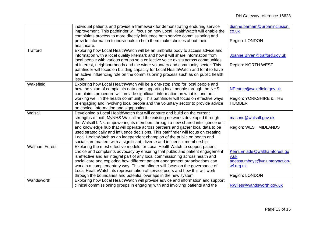|                       | individual patients and provide a framework for demonstrating enduring service<br>improvement. This pathfinder will focus on how Local HealthWatch will enable the<br>complaints process to more directly influence both service commissioning and<br>provide information to individuals to help them make choices about their<br>healthcare.                                                                                                                                                                                                                                   | dianne.barham@urbaninclusion.<br>$\underline{\text{co}}.\text{uk}$<br>Region: LONDON                 |
|-----------------------|---------------------------------------------------------------------------------------------------------------------------------------------------------------------------------------------------------------------------------------------------------------------------------------------------------------------------------------------------------------------------------------------------------------------------------------------------------------------------------------------------------------------------------------------------------------------------------|------------------------------------------------------------------------------------------------------|
| <b>Trafford</b>       | Exploring how Local HealthWatch will be an umbrella body to access advice and<br>information with a local quality kitemark and how it will share information from<br>local people with various groups so a collective voice exists across communities<br>of interest, neighbourhoods and the wider voluntary and community sector. This<br>pathfinder will focus on building capacity for Local HealthWatch and for it to have<br>an active influencing role on the commissioning process such as on public health<br>issue.                                                    | Joanne.Bryan@trafford.gov.uk<br>Region: NORTH WEST                                                   |
| Wakefield             | Exploring how Local HealthWatch will be a one-stop shop for local people and<br>how the value of complaints data and supporting local people through the NHS<br>complaints procedure will provide significant information on what is, and not,<br>working well in the health community. This pathfinder will focus on effective ways<br>of engaging and involving local people and the voluntary sector to provide advice<br>on choice, information and signposting.                                                                                                            | NPearce@wakefield.gov.uk<br>Region: YORKSHIRE & THE<br><b>HUMBER</b>                                 |
| Walsall               | Developing a Local HealthWatch that will capture and build on the current<br>strengths of both MyNHS Walsall and the existing networks developed through<br>the Walsall LINk, empowering its members through a new shared intelligence unit<br>and knowledge hub that will operate across partners and gather local data to be<br>used strategically and influence decisions. This pathfinder will focus on creating<br>Local HealthWatch as an independent champion of the public on health and<br>social care matters with a significant, diverse and influential membership. | masonc@walsall.gov.uk<br>Region: WEST MIDLANDS                                                       |
| <b>Waltham Forest</b> | Exploring the most effective models for Local HealthWatch to support patient<br>choice and complaints advocacy by ensuring that public and patient engagement<br>is effective and an integral part of any local commissioning across health and<br>social care and exploring how different patient engagement organisations can<br>work in a complementary way. This pathfinder will focus on the governance of<br>Local HealthWatch, its representation of service users and how this will work<br>through the boundaries and potential overlaps in the new system.            | Kemi.Eniade@walthamforest.go<br>v.uk<br>adessa.mbaye@voluntaryaction-<br>wf.org.uk<br>Region: LONDON |
| Wandsworth            | Exploring how Local HealthWatch will provide advice and information and support<br>clinical commissioning groups in engaging with and involving patients and the                                                                                                                                                                                                                                                                                                                                                                                                                | RWiles@wandsworth.gov.uk                                                                             |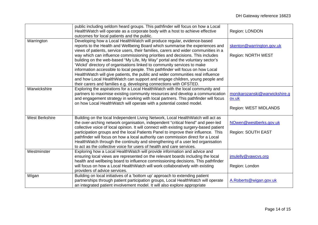|                       | public including seldom heard groups. This pathfinder will focus on how a Local        |                               |
|-----------------------|----------------------------------------------------------------------------------------|-------------------------------|
|                       | HealthWatch will operate as a corporate body with a host to achieve effective          | Region: LONDON                |
|                       | outcomes for local patients and the public.                                            |                               |
| Warrington            | Developing how a Local HealthWatch will produce regular, evidence-based                |                               |
|                       | reports to the Health and Wellbeing Board which summarise the experiences and          | skenton@warrington.gov.uk     |
|                       | views of patients, service users, their families, carers and wider communities in a    |                               |
|                       | way which can influence commissioning priorities and decisions. This includes          | Region: NORTH WEST            |
|                       | building on the web-based "My Life, My Way" portal and the voluntary sector's          |                               |
|                       | 'Wickd' directory of organisations linked to community services to make                |                               |
|                       | information accessible to local people. This pathfinder will focus on how Local        |                               |
|                       | HealthWatch will give patients, the public and wider communities real influence        |                               |
|                       | and how Local HealthWatch can support and engage children, young people and            |                               |
|                       | their carers and families e.g. developing connections with OFSTED.                     |                               |
| Warwickshire          | Exploring the aspirations for a Local HealthWatch with the local community and         |                               |
|                       | partners to maximise existing community resources and develop a communication          | monikarozanski@warwickshire.g |
|                       | and engagement strategy in working with local partners. This pathfinder will focus     | ov.uk                         |
|                       | on how Local HealthWatch will operate with a potential costed model.                   |                               |
|                       |                                                                                        | Region: WEST MIDLANDS         |
|                       |                                                                                        |                               |
| <b>West Berkshire</b> | Building on the local Independent Living Network, Local HealthWatch will act as        |                               |
|                       | the over-arching network organisation, independent "critical friend" and peer-led      | NOwen@westberks.gov.uk        |
|                       | collective voice of local opinion. It will connect with existing surgery-based patient |                               |
|                       | participation groups and the local Patients Panel to improve their influence. This     | Region: SOUTH EAST            |
|                       | pathfinder will focus on how a local authority can commission direct for a Local       |                               |
|                       | HealthWatch through the continuity and strengthening of a user led organisation        |                               |
|                       | to act as the collective voice for users of health and care services.                  |                               |
| Westminster           | Exploring how a Local HealthWatch will provide information and advice and              |                               |
|                       | ensuring local views are represented on the relevant boards including the local        | jmulelly@vawcvs.org           |
|                       | health and wellbeing board to influence commissioning decisions. This pathfinder       |                               |
|                       | will focus on how a Local HealthWatch will work collaboratively with existing          | Region: London                |
|                       | providers of advice services.                                                          |                               |
| Wigan                 | Building on local initiatives of a 'bottom up' approach to extending patient           |                               |
|                       | partnerships through patient participation groups, Local HealthWatch will operate      | A.Roberts@wigan.gov.uk        |
|                       | an integrated patient involvement model. It will also explore appropriate              |                               |